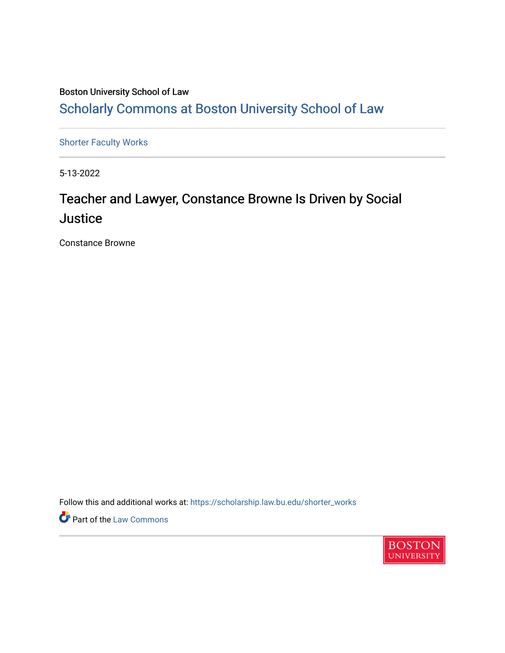#### Boston University School of Law [Scholarly Commons at Boston University School of Law](https://scholarship.law.bu.edu/)

[Shorter Faculty Works](https://scholarship.law.bu.edu/shorter_works)

5-13-2022

### Teacher and Lawyer, Constance Browne Is Driven by Social **Justice**

Constance Browne

Follow this and additional works at: [https://scholarship.law.bu.edu/shorter\\_works](https://scholarship.law.bu.edu/shorter_works?utm_source=scholarship.law.bu.edu%2Fshorter_works%2F147&utm_medium=PDF&utm_campaign=PDFCoverPages)

Part of the [Law Commons](https://network.bepress.com/hgg/discipline/578?utm_source=scholarship.law.bu.edu%2Fshorter_works%2F147&utm_medium=PDF&utm_campaign=PDFCoverPages)

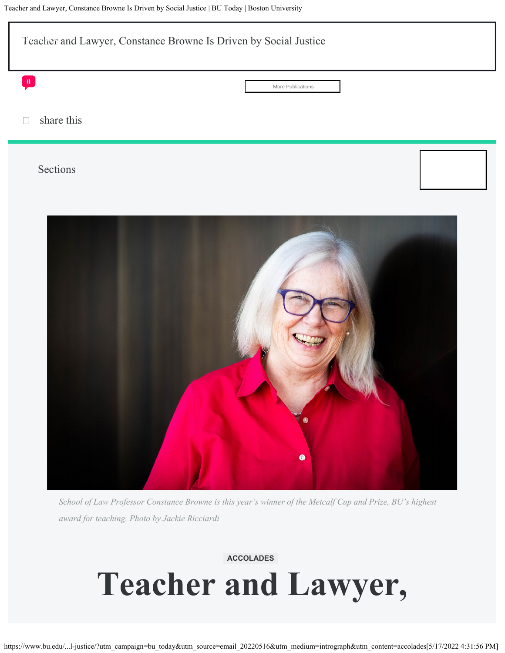

*School of Law Professor Constance Browne is this year's winner of the Metcalf Cup and Prize, BU's highest award for teaching. Photo by Jackie Ricciardi*

#### **ACCOLADES**

## **Teacher and Lawyer,**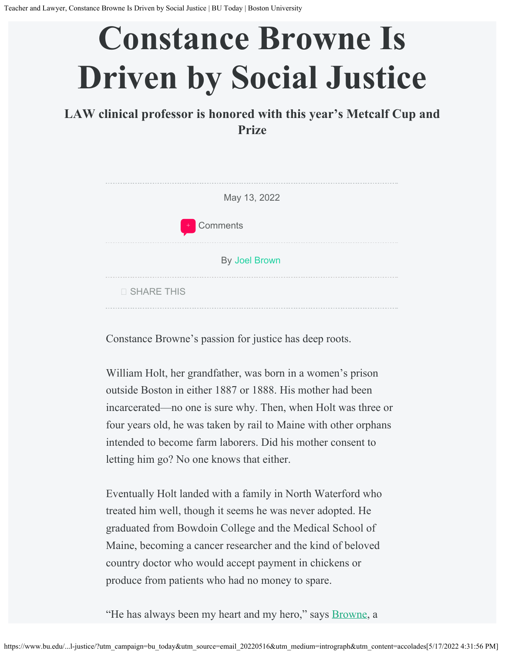# **Constance Browne Is Driven by Social Justice**

**LAW clinical professor is honored with this year's Metcalf Cup and Prize**

| May 13, 2022         |  |
|----------------------|--|
| + Comments           |  |
| <b>By Joel Brown</b> |  |
| □ SHARE THIS         |  |

Constance Browne's passion for justice has deep roots.

William Holt, her grandfather, was born in a women's prison outside Boston in either 1887 or 1888. His mother had been incarcerated—no one is sure why. Then, when Holt was three or four years old, he was taken by rail to Maine with other orphans intended to become farm laborers. Did his mother consent to letting him go? No one knows that either.

Eventually Holt landed with a family in North Waterford who treated him well, though it seems he was never adopted. He graduated from Bowdoin College and the Medical School of Maine, becoming a cancer researcher and the kind of beloved country doctor who would accept payment in chickens or produce from patients who had no money to spare.

"He has always been my heart and my hero," says **Browne**, a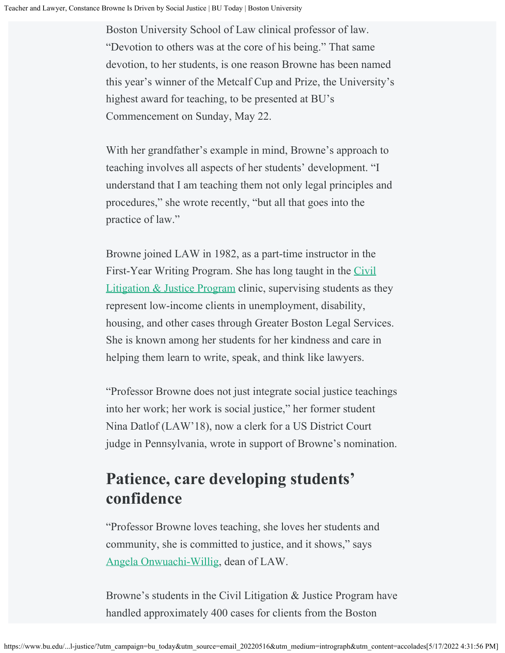Boston University School of Law clinical professor of law. "Devotion to others was at the core of his being." That same devotion, to her students, is one reason Browne has been named this year's winner of the Metcalf Cup and Prize, the University's highest award for teaching, to be presented at BU's Commencement on Sunday, May 22.

With her grandfather's example in mind, Browne's approach to teaching involves all aspects of her students' development. "I understand that I am teaching them not only legal principles and procedures," she wrote recently, "but all that goes into the practice of law."

Browne joined LAW in 1982, as a part-time instructor in the First-Year Writing Program. She has long taught in the [Civil](https://www.bu.edu/law/current-students/jd-student-resources/experiential-learning/clinics/civil-litigation-program/) [Litigation & Justice Program](https://www.bu.edu/law/current-students/jd-student-resources/experiential-learning/clinics/civil-litigation-program/) clinic, supervising students as they represent low-income clients in unemployment, disability, housing, and other cases through Greater Boston Legal Services. She is known among her students for her kindness and care in helping them learn to write, speak, and think like lawyers.

"Professor Browne does not just integrate social justice teachings into her work; her work is social justice," her former student Nina Datlof (LAW'18), now a clerk for a US District Court judge in Pennsylvania, wrote in support of Browne's nomination.

### **Patience, care developing students' confidence**

"Professor Browne loves teaching, she loves her students and community, she is committed to justice, and it shows," says [Angela Onwuachi-Willig,](https://www.bu.edu/law/profile/angela-onwuachi-willig/) dean of LAW.

Browne's students in the Civil Litigation & Justice Program have handled approximately 400 cases for clients from the Boston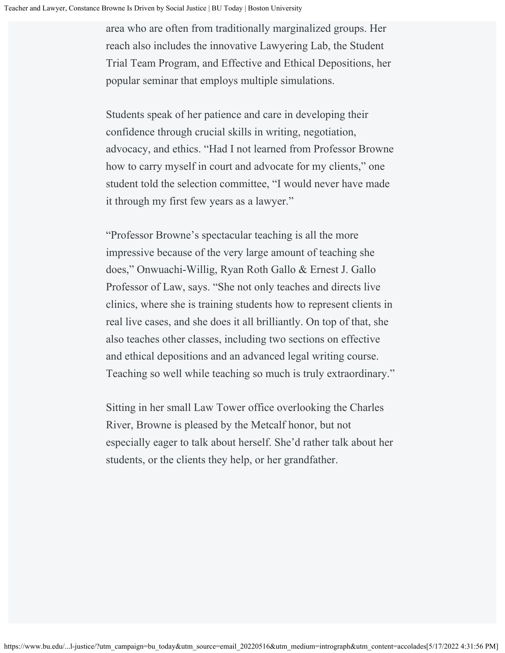area who are often from traditionally marginalized groups. Her reach also includes the innovative Lawyering Lab, the Student Trial Team Program, and Effective and Ethical Depositions, her popular seminar that employs multiple simulations.

Students speak of her patience and care in developing their confidence through crucial skills in writing, negotiation, advocacy, and ethics. "Had I not learned from Professor Browne how to carry myself in court and advocate for my clients," one student told the selection committee, "I would never have made it through my first few years as a lawyer."

"Professor Browne's spectacular teaching is all the more impressive because of the very large amount of teaching she does," Onwuachi-Willig, Ryan Roth Gallo & Ernest J. Gallo Professor of Law, says. "She not only teaches and directs live clinics, where she is training students how to represent clients in real live cases, and she does it all brilliantly. On top of that, she also teaches other classes, including two sections on effective and ethical depositions and an advanced legal writing course. Teaching so well while teaching so much is truly extraordinary."

Sitting in her small Law Tower office overlooking the Charles River, Browne is pleased by the Metcalf honor, but not especially eager to talk about herself. She'd rather talk about her students, or the clients they help, or her grandfather.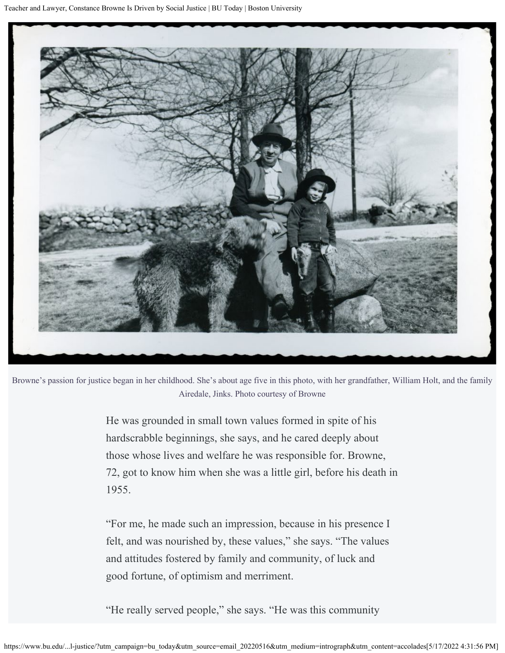

Browne's passion for justice began in her childhood. She's about age five in this photo, with her grandfather, William Holt, and the family Airedale, Jinks. Photo courtesy of Browne

> He was grounded in small town values formed in spite of his hardscrabble beginnings, she says, and he cared deeply about those whose lives and welfare he was responsible for. Browne, 72, got to know him when she was a little girl, before his death in 1955.

"For me, he made such an impression, because in his presence I felt, and was nourished by, these values," she says. "The values and attitudes fostered by family and community, of luck and good fortune, of optimism and merriment.

"He really served people," she says. "He was this community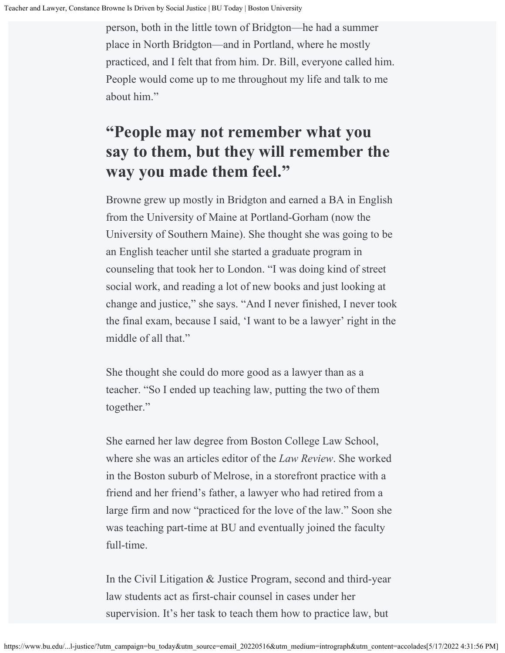person, both in the little town of Bridgton—he had a summer place in North Bridgton—and in Portland, where he mostly practiced, and I felt that from him. Dr. Bill, everyone called him. People would come up to me throughout my life and talk to me about him."

### **"People may not remember what you say to them, but they will remember the way you made them feel."**

Browne grew up mostly in Bridgton and earned a BA in English from the University of Maine at Portland-Gorham (now the University of Southern Maine). She thought she was going to be an English teacher until she started a graduate program in counseling that took her to London. "I was doing kind of street social work, and reading a lot of new books and just looking at change and justice," she says. "And I never finished, I never took the final exam, because I said, 'I want to be a lawyer' right in the middle of all that."

She thought she could do more good as a lawyer than as a teacher. "So I ended up teaching law, putting the two of them together."

She earned her law degree from Boston College Law School, where she was an articles editor of the *Law Review*. She worked in the Boston suburb of Melrose, in a storefront practice with a friend and her friend's father, a lawyer who had retired from a large firm and now "practiced for the love of the law." Soon she was teaching part-time at BU and eventually joined the faculty full-time.

In the Civil Litigation & Justice Program, second and third-year law students act as first-chair counsel in cases under her supervision. It's her task to teach them how to practice law, but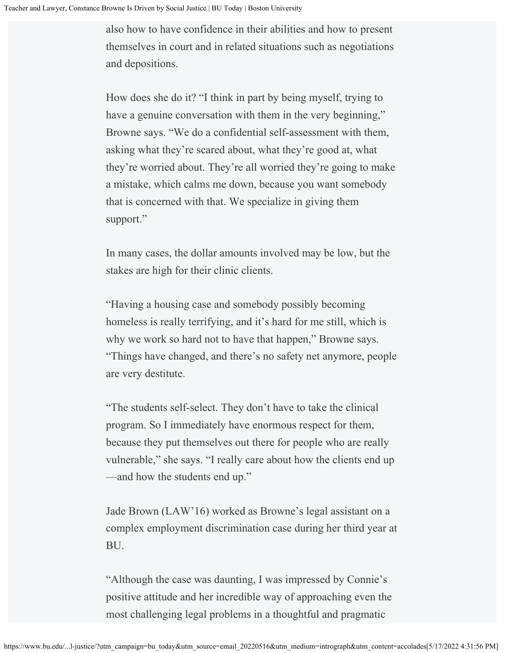also how to have confidence in their abilities and how to present themselves in court and in related situations such as negotiations and depositions.

How does she do it? "I think in part by being myself, trying to have a genuine conversation with them in the very beginning," Browne says. "We do a confidential self-assessment with them, asking what they're scared about, what they're good at, what they're worried about. They're all worried they're going to make a mistake, which calms me down, because you want somebody that is concerned with that. We specialize in giving them support."

In many cases, the dollar amounts involved may be low, but the stakes are high for their clinic clients.

"Having a housing case and somebody possibly becoming homeless is really terrifying, and it's hard for me still, which is why we work so hard not to have that happen," Browne says. "Things have changed, and there's no safety net anymore, people are very destitute.

"The students self-select. They don't have to take the clinical program. So I immediately have enormous respect for them, because they put themselves out there for people who are really vulnerable," she says. "I really care about how the clients end up —and how the students end up."

Jade Brown (LAW'16) worked as Browne's legal assistant on a complex employment discrimination case during her third year at BU.

"Although the case was daunting, I was impressed by Connie's positive attitude and her incredible way of approaching even the most challenging legal problems in a thoughtful and pragmatic